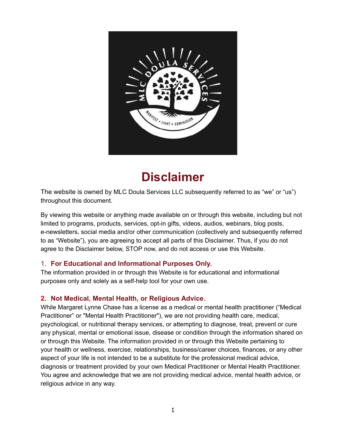

# **Disclaimer**

The website is owned by MLC Doula Services LLC subsequently referred to as "we" or "us") throughout this document.

By viewing this website or anything made available on or through this website, including but not limited to programs, products, services, opt-in gifts, videos, audios, webinars, blog posts, e-newsletters, social media and/or other communication (collectively and subsequently referred to as "Website"), you are agreeing to accept all parts of this Disclaimer. Thus, if you do not agree to the Disclaimer below, STOP now, and do not access or use this Website.

# 1. **For Educational and Informational Purposes Only.**

The information provided in or through this Website is for educational and informational purposes only and solely as a self-help tool for your own use.

# **2. Not Medical, Mental Health, or Religious Advice.**

While Margaret Lynne Chase has a license as a medical or mental health practitioner ("Medical Practitioner" or "Mental Health Practitioner"), we are not providing health care, medical, psychological, or nutritional therapy services, or attempting to diagnose, treat, prevent or cure any physical, mental or emotional issue, disease or condition through the information shared on or through this Website. The information provided in or through this Website pertaining to your health or wellness, exercise, relationships, business/career choices, finances, or any other aspect of your life is not intended to be a substitute for the professional medical advice, diagnosis or treatment provided by your own Medical Practitioner or Mental Health Practitioner. You agree and acknowledge that we are not providing medical advice, mental health advice, or religious advice in any way.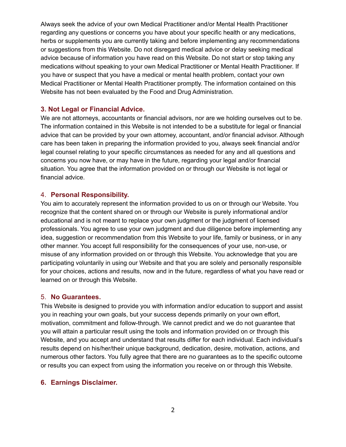Always seek the advice of your own Medical Practitioner and/or Mental Health Practitioner regarding any questions or concerns you have about your specific health or any medications, herbs or supplements you are currently taking and before implementing any recommendations or suggestions from this Website. Do not disregard medical advice or delay seeking medical advice because of information you have read on this Website. Do not start or stop taking any medications without speaking to your own Medical Practitioner or Mental Health Practitioner. If you have or suspect that you have a medical or mental health problem, contact your own Medical Practitioner or Mental Health Practitioner promptly. The information contained on this Website has not been evaluated by the Food and Drug Administration.

#### **3. Not Legal or Financial Advice.**

We are not attorneys, accountants or financial advisors, nor are we holding ourselves out to be. The information contained in this Website is not intended to be a substitute for legal or financial advice that can be provided by your own attorney, accountant, and/or financial advisor. Although care has been taken in preparing the information provided to you, always seek financial and/or legal counsel relating to your specific circumstances as needed for any and all questions and concerns you now have, or may have in the future, regarding your legal and/or financial situation. You agree that the information provided on or through our Website is not legal or financial advice.

#### 4. **Personal Responsibility.**

You aim to accurately represent the information provided to us on or through our Website. You recognize that the content shared on or through our Website is purely informational and/or educational and is not meant to replace your own judgment or the judgment of licensed professionals. You agree to use your own judgment and due diligence before implementing any idea, suggestion or recommendation from this Website to your life, family or business, or in any other manner. You accept full responsibility for the consequences of your use, non-use, or misuse of any information provided on or through this Website. You acknowledge that you are participating voluntarily in using our Website and that you are solely and personally responsible for your choices, actions and results, now and in the future, regardless of what you have read or learned on or through this Website.

#### 5. **No Guarantees.**

This Website is designed to provide you with information and/or education to support and assist you in reaching your own goals, but your success depends primarily on your own effort, motivation, commitment and follow-through. We cannot predict and we do not guarantee that you will attain a particular result using the tools and information provided on or through this Website, and you accept and understand that results differ for each individual. Each individual's results depend on his/her/their unique background, dedication, desire, motivation, actions, and numerous other factors. You fully agree that there are no guarantees as to the specific outcome or results you can expect from using the information you receive on or through this Website.

#### **6. Earnings Disclaimer.**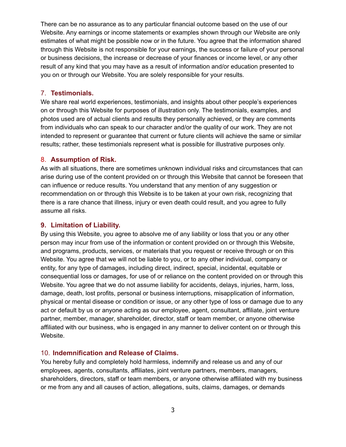There can be no assurance as to any particular financial outcome based on the use of our Website. Any earnings or income statements or examples shown through our Website are only estimates of what might be possible now or in the future. You agree that the information shared through this Website is not responsible for your earnings, the success or failure of your personal or business decisions, the increase or decrease of your finances or income level, or any other result of any kind that you may have as a result of information and/or education presented to you on or through our Website. You are solely responsible for your results.

#### 7. **Testimonials.**

We share real world experiences, testimonials, and insights about other people's experiences on or through this Website for purposes of illustration only. The testimonials, examples, and photos used are of actual clients and results they personally achieved, or they are comments from individuals who can speak to our character and/or the quality of our work. They are not intended to represent or guarantee that current or future clients will achieve the same or similar results; rather, these testimonials represent what is possible for illustrative purposes only.

#### 8. **Assumption of Risk.**

As with all situations, there are sometimes unknown individual risks and circumstances that can arise during use of the content provided on or through this Website that cannot be foreseen that can influence or reduce results. You understand that any mention of any suggestion or recommendation on or through this Website is to be taken at your own risk, recognizing that there is a rare chance that illness, injury or even death could result, and you agree to fully assume all risks.

#### **9. Limitation of Liability.**

By using this Website, you agree to absolve me of any liability or loss that you or any other person may incur from use of the information or content provided on or through this Website, and programs, products, services, or materials that you request or receive through or on this Website. You agree that we will not be liable to you, or to any other individual, company or entity, for any type of damages, including direct, indirect, special, incidental, equitable or consequential loss or damages, for use of or reliance on the content provided on or through this Website. You agree that we do not assume liability for accidents, delays, injuries, harm, loss, damage, death, lost profits, personal or business interruptions, misapplication of information, physical or mental disease or condition or issue, or any other type of loss or damage due to any act or default by us or anyone acting as our employee, agent, consultant, affiliate, joint venture partner, member, manager, shareholder, director, staff or team member, or anyone otherwise affiliated with our business, who is engaged in any manner to deliver content on or through this Website.

#### 10. **Indemnification and Release of Claims.**

You hereby fully and completely hold harmless, indemnify and release us and any of our employees, agents, consultants, affiliates, joint venture partners, members, managers, shareholders, directors, staff or team members, or anyone otherwise affiliated with my business or me from any and all causes of action, allegations, suits, claims, damages, or demands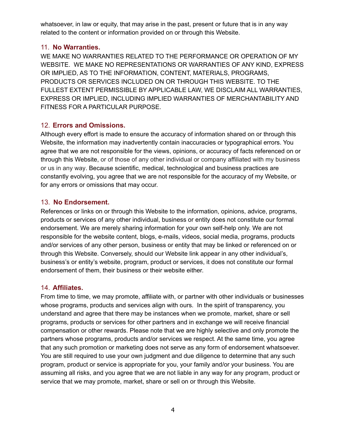whatsoever, in law or equity, that may arise in the past, present or future that is in any way related to the content or information provided on or through this Website.

## 11. **No Warranties.**

WE MAKE NO WARRANTIES RELATED TO THE PERFORMANCE OR OPERATION OF MY WEBSITE. WE MAKE NO REPRESENTATIONS OR WARRANTIES OF ANY KIND, EXPRESS OR IMPLIED, AS TO THE INFORMATION, CONTENT, MATERIALS, PROGRAMS, PRODUCTS OR SERVICES INCLUDED ON OR THROUGH THIS WEBSITE. TO THE FULLEST EXTENT PERMISSIBLE BY APPLICABLE LAW, WE DISCLAIM ALL WARRANTIES, EXPRESS OR IMPLIED, INCLUDING IMPLIED WARRANTIES OF MERCHANTABILITY AND FITNESS FOR A PARTICULAR PURPOSE.

# 12. **Errors and Omissions.**

Although every effort is made to ensure the accuracy of information shared on or through this Website, the information may inadvertently contain inaccuracies or typographical errors. You agree that we are not responsible for the views, opinions, or accuracy of facts referenced on or through this Website, or of those of any other individual or company affiliated with my business or us in any way. Because scientific, medical, technological and business practices are constantly evolving, you agree that we are not responsible for the accuracy of my Website, or for any errors or omissions that may occur.

## 13. **No Endorsement.**

References or links on or through this Website to the information, opinions, advice, programs, products or services of any other individual, business or entity does not constitute our formal endorsement. We are merely sharing information for your own self-help only. We are not responsible for the website content, blogs, e-mails, videos, social media, programs, products and/or services of any other person, business or entity that may be linked or referenced on or through this Website. Conversely, should our Website link appear in any other individual's, business's or entity's website, program, product or services, it does not constitute our formal endorsement of them, their business or their website either.

## 14. **Affiliates.**

From time to time, we may promote, affiliate with, or partner with other individuals or businesses whose programs, products and services align with ours. In the spirit of transparency, you understand and agree that there may be instances when we promote, market, share or sell programs, products or services for other partners and in exchange we will receive financial compensation or other rewards. Please note that we are highly selective and only promote the partners whose programs, products and/or services we respect. At the same time, you agree that any such promotion or marketing does not serve as any form of endorsement whatsoever. You are still required to use your own judgment and due diligence to determine that any such program, product or service is appropriate for you, your family and/or your business. You are assuming all risks, and you agree that we are not liable in any way for any program, product or service that we may promote, market, share or sell on or through this Website.